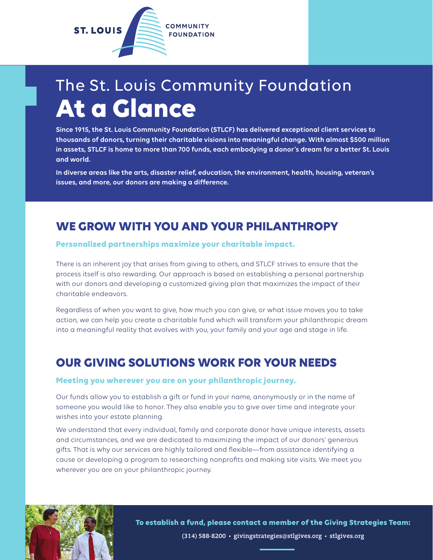

## The St. Louis Community Foundation **At a Glance**

**Since 1915, the St. Louis Community Foundation (STLCF) has delivered exceptional client services to thousands of donors, turning their charitable visions into meaningful change. With almost \$500 million in assets, STLCF is home to more than 700 funds, each embodying a donor's dream for a better St. Louis and world.** 

**In diverse areas like the arts, disaster relief, education, the environment, health, housing, veteran's issues, and more, our donors are making a difference.** 

### **WE GROW WITH YOU AND YOUR PHILANTHROPY**

#### **Personalized partnerships maximize your charitable impact.**

There is an inherent joy that arises from giving to others, and STLCF strives to ensure that the process itself is also rewarding. Our approach is based on establishing a personal partnership with our donors and developing a customized giving plan that maximizes the impact of their charitable endeavors.

Regardless of when you want to give, how much you can give, or what issue moves you to take action, we can help you create a charitable fund which will transform your philanthropic dream into a meaningful reality that evolves with you, your family and your age and stage in life.

### **OUR GIVING SOLUTIONS WORK FOR YOUR NEEDS**

#### **Meeting you wherever you are on your philanthropic journey.**

Our funds allow you to establish a gift or fund in your name, anonymously or in the name of someone you would like to honor. They also enable you to give over time and integrate your wishes into your estate planning.

We understand that every individual, family and corporate donor have unique interests, assets and circumstances, and we are dedicated to maximizing the impact of our donors' generous gifts. That is why our services are highly tailored and flexible—from assistance identifying a cause or developing a program to researching nonprofits and making site visits. We meet you wherever you are on your philanthropic journey.



**To establish a fund, please contact a member of the Giving Strategies Team:** (314) 588-8200 • givingstrategies@stlgives.org • stlgives.org